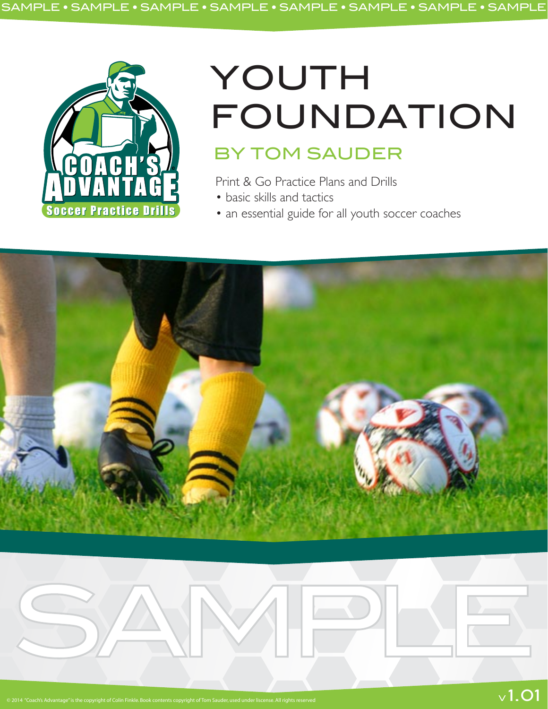

# YOUTH FOUNDATION

## BY TOM SAUDER

Print & Go Practice Plans and Drills

- basic skills and tactics
- an essential guide for all youth soccer coaches



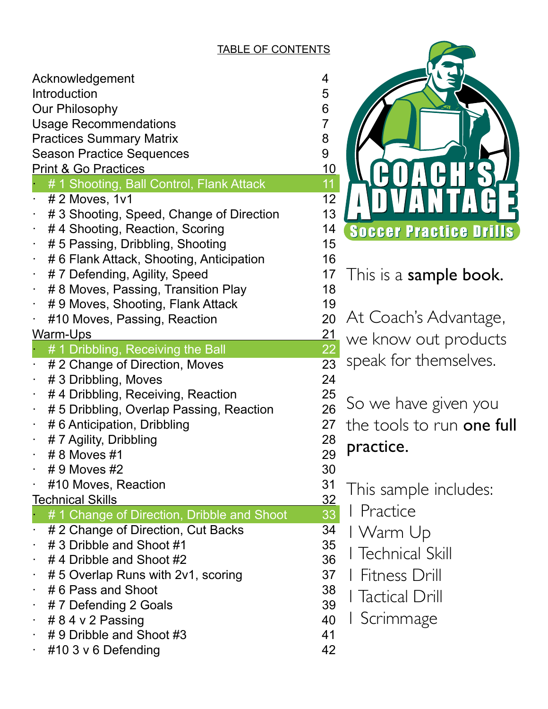#### TABLE OF CONTENTS

| Acknowledgement<br>Introduction<br>Our Philosophy<br><b>Usage Recommendations</b><br><b>Practices Summary Matrix</b><br><b>Season Practice Sequences</b> | 4<br>5<br>6<br>$\overline{7}$<br>8<br>9 |
|----------------------------------------------------------------------------------------------------------------------------------------------------------|-----------------------------------------|
| <b>Print &amp; Go Practices</b>                                                                                                                          | <u> 10</u>                              |
| # 1 Shooting, Ball Control, Flank Attack                                                                                                                 | 11                                      |
| $# 2$ Moves, 1v1                                                                                                                                         | 12<br>13                                |
| # 3 Shooting, Speed, Change of Direction<br>#4 Shooting, Reaction, Scoring<br>۰                                                                          | 14                                      |
| # 5 Passing, Dribbling, Shooting<br>۰                                                                                                                    | 15                                      |
| # 6 Flank Attack, Shooting, Anticipation                                                                                                                 | 16                                      |
| #7 Defending, Agility, Speed<br>٠                                                                                                                        | 17                                      |
| # 8 Moves, Passing, Transition Play                                                                                                                      | 18                                      |
| # 9 Moves, Shooting, Flank Attack<br>٠                                                                                                                   | 19                                      |
| #10 Moves, Passing, Reaction<br>٠                                                                                                                        | 20                                      |
| <u>Warm-Ups</u>                                                                                                                                          | <u> 21</u>                              |
| # 1 Dribbling, Receiving the Ball                                                                                                                        | <u>22</u>                               |
| # 2 Change of Direction, Moves                                                                                                                           | 23                                      |
| # 3 Dribbling, Moves<br>۰                                                                                                                                | 24                                      |
| #4 Dribbling, Receiving, Reaction<br>٠                                                                                                                   | 25                                      |
| # 5 Dribbling, Overlap Passing, Reaction                                                                                                                 | 26                                      |
| #6 Anticipation, Dribbling<br>$\blacksquare$                                                                                                             | 27                                      |
| # 7 Agility, Dribbling                                                                                                                                   | 28                                      |
| #8 Moves #1<br>٠                                                                                                                                         | 29                                      |
| # 9 Moves #2                                                                                                                                             | 30                                      |
| #10 Moves, Reaction                                                                                                                                      | 31                                      |
| <b>Technical Skills</b>                                                                                                                                  | <u>32</u>                               |
| #1 Change of Direction, Dribble and Shoot                                                                                                                | 33                                      |
| # 2 Change of Direction, Cut Backs                                                                                                                       | 34                                      |
| #3 Dribble and Shoot #1                                                                                                                                  | 35                                      |
| #4 Dribble and Shoot #2                                                                                                                                  | 36                                      |
| #5 Overlap Runs with 2v1, scoring                                                                                                                        | 37                                      |
| #6 Pass and Shoot                                                                                                                                        | 38                                      |
| #7 Defending 2 Goals                                                                                                                                     | 39                                      |
| # 8 4 v 2 Passing                                                                                                                                        | 40                                      |
| #9 Dribble and Shoot #3                                                                                                                                  | 41                                      |
| #10 3 v 6 Defending                                                                                                                                      | 42                                      |

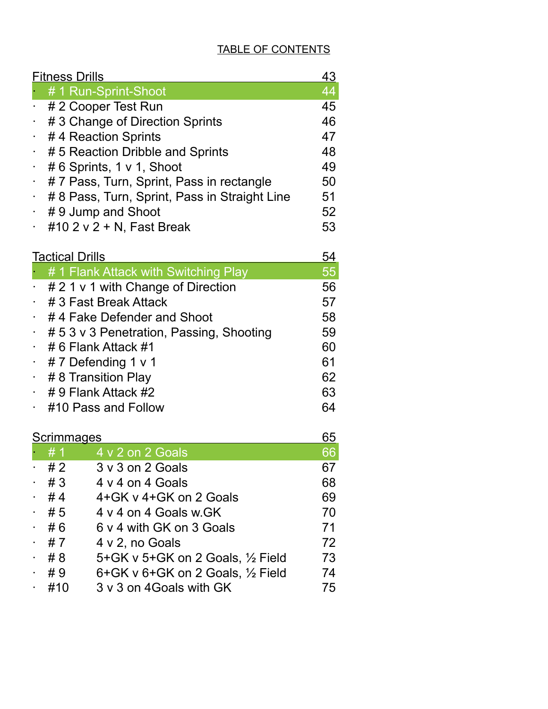## TABLE OF CONTENTS

|                | <b>Fitness Drills</b>                         |                                                 |          |  |
|----------------|-----------------------------------------------|-------------------------------------------------|----------|--|
|                |                                               | # 1 Run-Sprint-Shoot                            | 44       |  |
|                |                                               | # 2 Cooper Test Run                             | 45       |  |
|                | #3 Change of Direction Sprints                |                                                 |          |  |
|                | #4 Reaction Sprints                           |                                                 |          |  |
| $\bullet$      | # 5 Reaction Dribble and Sprints              |                                                 |          |  |
| $\sim$         | #6 Sprints, 1 v 1, Shoot                      |                                                 |          |  |
| ۰.             | #7 Pass, Turn, Sprint, Pass in rectangle      |                                                 |          |  |
| ٠              | # 8 Pass, Turn, Sprint, Pass in Straight Line |                                                 |          |  |
|                | #9 Jump and Shoot                             |                                                 |          |  |
| $\blacksquare$ |                                               | #10 2 v 2 + N, Fast Break                       | 53       |  |
|                | <u>54</u><br><b>Tactical Drills</b>           |                                                 |          |  |
|                |                                               | # 1 Flank Attack with Switching Play            | 55       |  |
|                |                                               | # 2 1 v 1 with Change of Direction              | 56       |  |
| ×.             |                                               | # 3 Fast Break Attack                           | 57       |  |
| $\sim$         |                                               | #4 Fake Defender and Shoot                      | 58       |  |
| ۰,             | # 5 3 v 3 Penetration, Passing, Shooting      |                                                 |          |  |
|                | # 6 Flank Attack #1                           |                                                 |          |  |
| $\bullet$      | #7 Defending 1 v 1                            |                                                 |          |  |
| $\bullet$ .    | #8 Transition Play                            |                                                 |          |  |
| × 1            | # 9 Flank Attack #2                           |                                                 |          |  |
| ٠              | 63<br>64<br>#10 Pass and Follow               |                                                 |          |  |
|                |                                               |                                                 |          |  |
|                | <u>Scrimmages</u>                             | 4 v 2 on 2 Goals                                | 65       |  |
|                | # 1<br># 2                                    | 3 v 3 on 2 Goals                                | 66<br>67 |  |
|                | #3                                            | 4 v 4 on 4 Goals                                | 68       |  |
|                | #4                                            | 4+GK v 4+GK on 2 Goals                          | 69       |  |
|                | #5                                            | 4 y 4 on 4 Goals w.GK                           | 70       |  |
| $\sim$         | #6                                            | 6 y 4 with GK on 3 Goals                        | 71       |  |
| ٠              | # 7                                           | 4 v 2, no Goals                                 | 72       |  |
| $\blacksquare$ | # 8                                           | 5+GK v 5+GK on 2 Goals, 1/2 Field               | 73       |  |
| ٠              | #9                                            | $6+GK$ v $6+GK$ on 2 Goals, $\frac{1}{2}$ Field | 74       |  |
|                | #10                                           | 3 v 3 on 4Goals with GK                         | 75       |  |
|                |                                               |                                                 |          |  |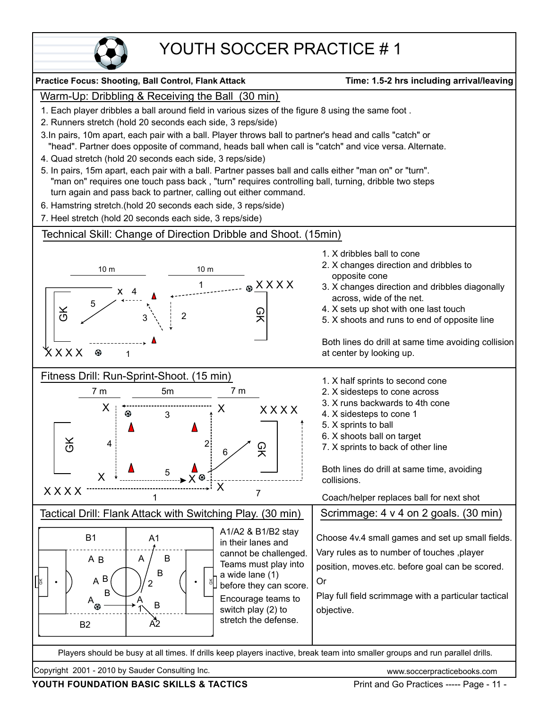

## YOUTH SOCCER PRACTICE # 1

#### Copyright 2001 - 2010 by Sauder Consulting Inc. www.soccerpracticebooks.com **Practice Focus: Shooting, Ball Control, Flank Attack Time: 1.5-2 hrs including arrival/leaving** Players should be busy at all times. If drills keep players inactive, break team into smaller groups and run parallel drills. Warm-Up: Dribbling & Receiving the Ball (30 min) 1. Each player dribbles a ball around field in various sizes of the figure 8 using the same foot . 2. Runners stretch (hold 20 seconds each side, 3 reps/side) 3.In pairs, 10m apart, each pair with a ball. Player throws ball to partner's head and calls "catch" or "head". Partner does opposite of command, heads ball when call is "catch" and vice versa. Alternate. 4. Quad stretch (hold 20 seconds each side, 3 reps/side) 5. In pairs, 15m apart, each pair with a ball. Partner passes ball and calls either "man on" or "turn". "man on" requires one touch pass back , "turn" requires controlling ball, turning, dribble two steps turn again and pass back to partner, calling out either command. 6. Hamstring stretch.(hold 20 seconds each side, 3 reps/side) 7. Heel stretch (hold 20 seconds each side, 3 reps/side) Technical Skill: Change of Direction Dribble and Shoot. (15min)  $-$  &  $XX$  X X X 1 1. X dribbles ball to cone 2. X changes direction and dribbles to opposite cone 3. X changes direction and dribbles diagonally across, wide of the net. 4. X sets up shot with one last touch 5. X shoots and runs to end of opposite line Both lines do drill at same time avoiding collision at center by looking up. 10 m 10 m  $\frac{1}{2}$ 오<br>지 X X X X x 4 1 3 2 5 Fitness Drill: Run-Sprint-Shoot. (15 min)  $\frac{\mathsf{X}}{\mathsf{S}}$ 오<br>지 X X X X  $X$   $X$   $X$   $X$   $\cdot$ 7 m 5m 7 m 1 2 3 4 5 6 X  $X \mid \frac{1}{\infty}$  X  $X \longleftarrow \mathbb{R}$ 7 1. X half sprints to second cone 2. X sidesteps to cone across 3. X runs backwards to 4th cone 4. X sidesteps to cone 1 5. X sprints to ball 6. X shoots ball on target 7. X sprints to back of other line Both lines do drill at same time, avoiding collisions. Coach/helper replaces ball for next shot Tactical Drill: Flank Attack with Switching Play. (30 min) | Scrimmage: 4 v 4 on 2 goals. (30 min) Choose 4v.4 small games and set up small fields. Vary rules as to number of touches ,player position, moves.etc. before goal can be scored. Or objective. GK  $_{\rm g}$ A1  $\mathsf{A}2$ A B A B A  $A_{\alpha}$   $\beta$ B1 B2 B B B B | A *|* B 1 2 A1/A2 & B1/B2 stay in their lanes and cannot be challenged. Teams must play into a wide lane (1) before they can score. Encourage teams to switch play (2) to stretch the defense. Play full field scrimmage with a particular tactical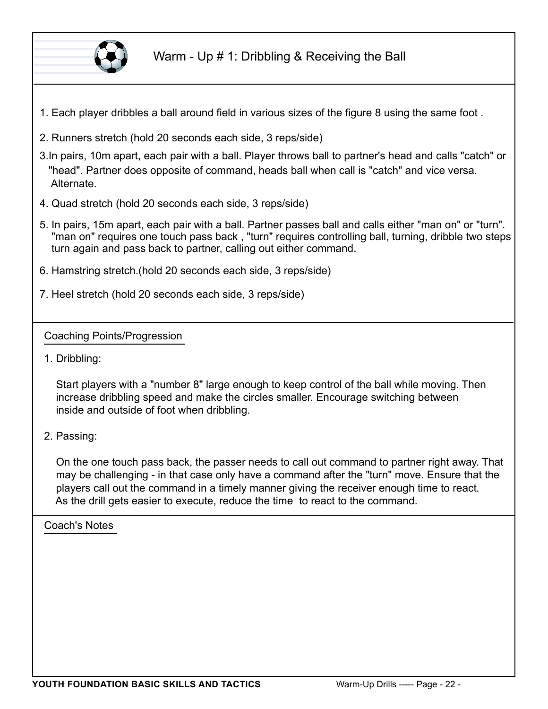

- 1. Each player dribbles a ball around field in various sizes of the figure 8 using the same foot .
- 2. Runners stretch (hold 20 seconds each side, 3 reps/side)
- 3.In pairs, 10m apart, each pair with a ball. Player throws ball to partner's head and calls "catch" or "head". Partner does opposite of command, heads ball when call is "catch" and vice versa. Alternate.
- 4. Quad stretch (hold 20 seconds each side, 3 reps/side)
- 5. In pairs, 15m apart, each pair with a ball. Partner passes ball and calls either "man on" or "turn". "man on" requires one touch pass back , "turn" requires controlling ball, turning, dribble two steps turn again and pass back to partner, calling out either command.
- 6. Hamstring stretch.(hold 20 seconds each side, 3 reps/side)
- 7. Heel stretch (hold 20 seconds each side, 3 reps/side)

#### Coaching Points/Progression

1. Dribbling:

Start players with a "number 8" large enough to keep control of the ball while moving. Then increase dribbling speed and make the circles smaller. Encourage switching between inside and outside of foot when dribbling.

2. Passing:

On the one touch pass back, the passer needs to call out command to partner right away. That may be challenging - in that case only have a command after the "turn" move. Ensure that the players call out the command in a timely manner giving the receiver enough time to react. As the drill gets easier to execute, reduce the time to react to the command.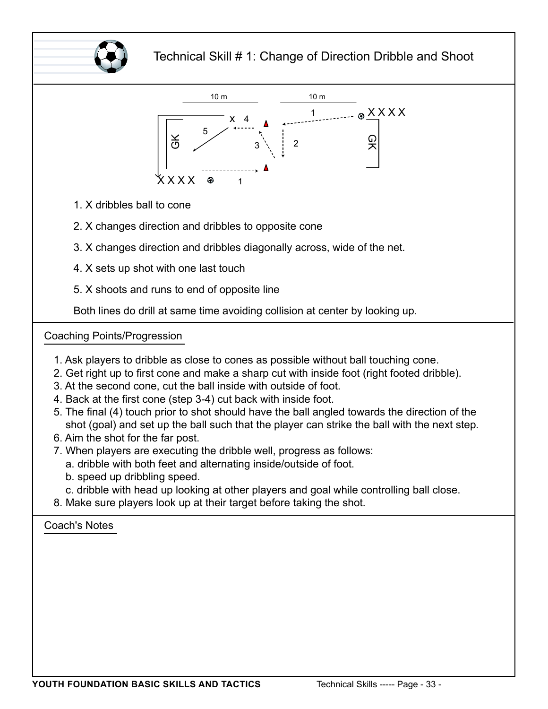



- 1. X dribbles ball to cone
- 2. X changes direction and dribbles to opposite cone
- 3. X changes direction and dribbles diagonally across, wide of the net.
- 4. X sets up shot with one last touch
- 5. X shoots and runs to end of opposite line

Both lines do drill at same time avoiding collision at center by looking up.

#### Coaching Points/Progression

- 1. Ask players to dribble as close to cones as possible without ball touching cone.
- 2. Get right up to first cone and make a sharp cut with inside foot (right footed dribble).
- 3. At the second cone, cut the ball inside with outside of foot.
- 4. Back at the first cone (step 3-4) cut back with inside foot.
- 5. The final (4) touch prior to shot should have the ball angled towards the direction of the shot (goal) and set up the ball such that the player can strike the ball with the next step.
- 6. Aim the shot for the far post.
- 7. When players are executing the dribble well, progress as follows:
	- a. dribble with both feet and alternating inside/outside of foot.
	- b. speed up dribbling speed.
	- c. dribble with head up looking at other players and goal while controlling ball close.
- 8. Make sure players look up at their target before taking the shot.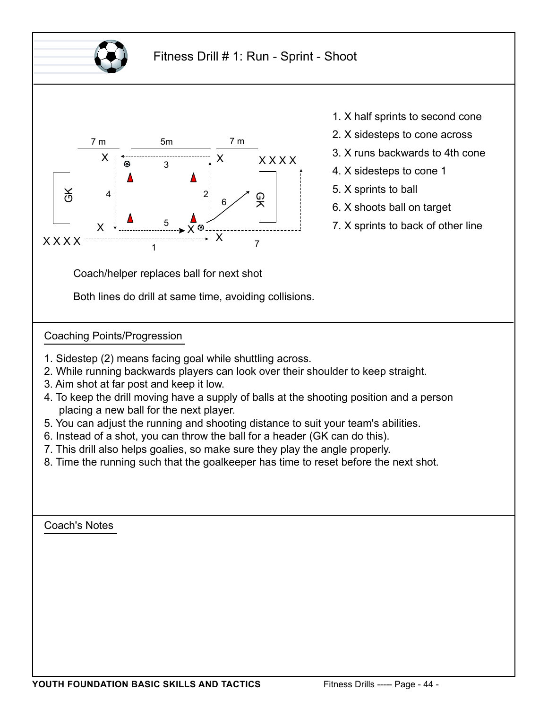



- 1. X half sprints to second cone
- 2. X sidesteps to cone across
- 3. X runs backwards to 4th cone
- 4. X sidesteps to cone 1
- 5. X sprints to ball
- 6. X shoots ball on target
- 7. X sprints to back of other line

Coach/helper replaces ball for next shot

Both lines do drill at same time, avoiding collisions.

Coaching Points/Progression

- 1. Sidestep (2) means facing goal while shuttling across.
- 2. While running backwards players can look over their shoulder to keep straight.
- 3. Aim shot at far post and keep it low.
- 4. To keep the drill moving have a supply of balls at the shooting position and a person placing a new ball for the next player.
- 5. You can adjust the running and shooting distance to suit your team's abilities.
- 6. Instead of a shot, you can throw the ball for a header (GK can do this).
- 7. This drill also helps goalies, so make sure they play the angle properly.
- 8. Time the running such that the goalkeeper has time to reset before the next shot.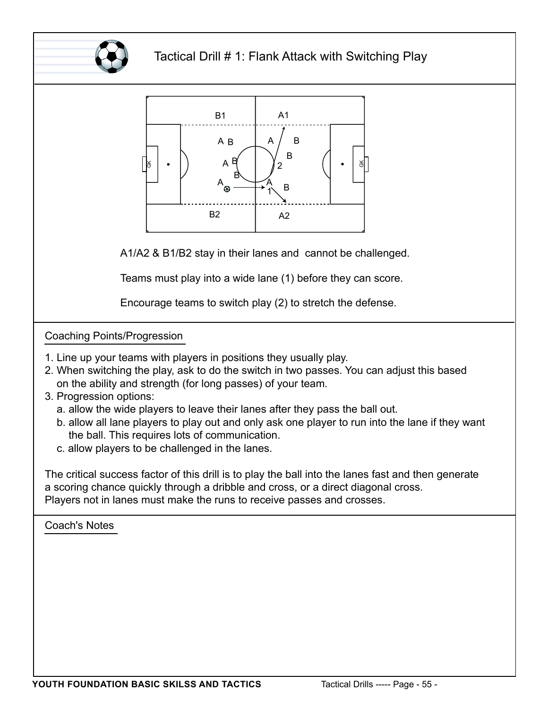

### Tactical Drill # 1: Flank Attack with Switching Play



A1/A2 & B1/B2 stay in their lanes and cannot be challenged.

Teams must play into a wide lane (1) before they can score.

Encourage teams to switch play (2) to stretch the defense.

#### Coaching Points/Progression

- 1. Line up your teams with players in positions they usually play.
- 2. When switching the play, ask to do the switch in two passes. You can adjust this based on the ability and strength (for long passes) of your team.
- 3. Progression options:
	- a. allow the wide players to leave their lanes after they pass the ball out.
	- b. allow all lane players to play out and only ask one player to run into the lane if they want the ball. This requires lots of communication.
	- c. allow players to be challenged in the lanes.

The critical success factor of this drill is to play the ball into the lanes fast and then generate a scoring chance quickly through a dribble and cross, or a direct diagonal cross. Players not in lanes must make the runs to receive passes and crosses.